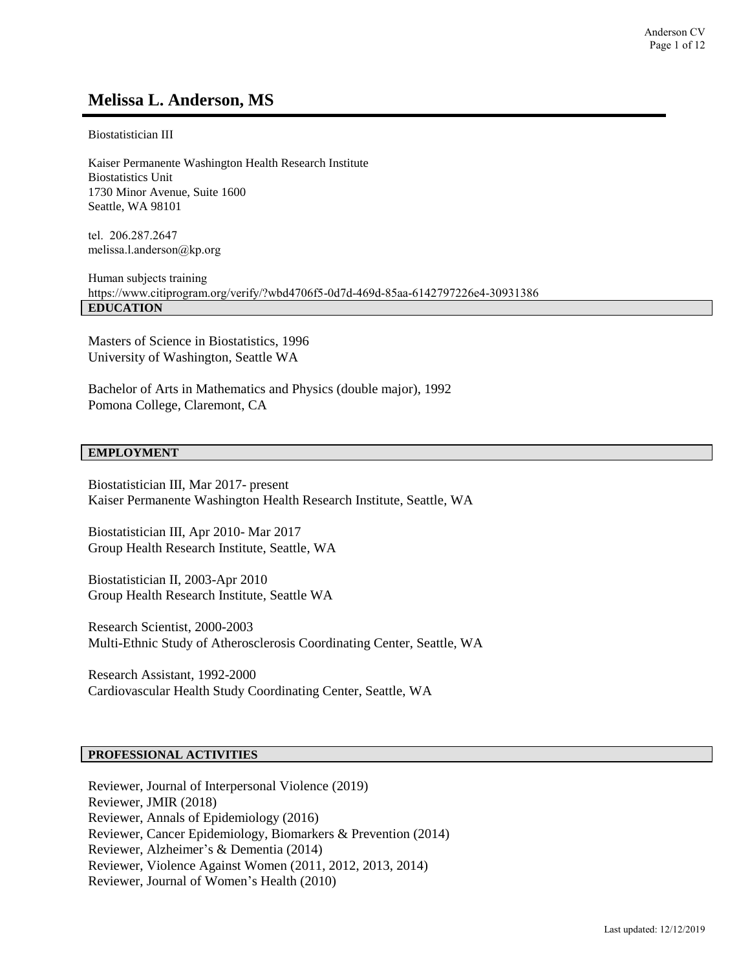# **Melissa L. Anderson, MS**

Biostatistician III

Kaiser Permanente Washington Health Research Institute Biostatistics Unit 1730 Minor Avenue, Suite 1600 Seattle, WA 98101

tel. 206.287.2647 melissa.l.anderson@kp.org

Human subjects training https://www.citiprogram.org/verify/?wbd4706f5-0d7d-469d-85aa-6142797226e4-30931386 **EDUCATION**

Masters of Science in Biostatistics, 1996 University of Washington, Seattle WA

Bachelor of Arts in Mathematics and Physics (double major), 1992 Pomona College, Claremont, CA

#### **EMPLOYMENT**

Biostatistician III, Mar 2017- present Kaiser Permanente Washington Health Research Institute, Seattle, WA

Biostatistician III, Apr 2010- Mar 2017 Group Health Research Institute, Seattle, WA

Biostatistician II, 2003-Apr 2010 Group Health Research Institute, Seattle WA

Research Scientist, 2000-2003 Multi-Ethnic Study of Atherosclerosis Coordinating Center, Seattle, WA

Research Assistant, 1992-2000 Cardiovascular Health Study Coordinating Center, Seattle, WA

### **PROFESSIONAL ACTIVITIES**

Reviewer, Journal of Interpersonal Violence (2019) Reviewer, JMIR (2018) Reviewer, Annals of Epidemiology (2016) Reviewer, Cancer Epidemiology, Biomarkers & Prevention (2014) Reviewer, Alzheimer's & Dementia (2014) Reviewer, Violence Against Women (2011, 2012, 2013, 2014) Reviewer, Journal of Women's Health (2010)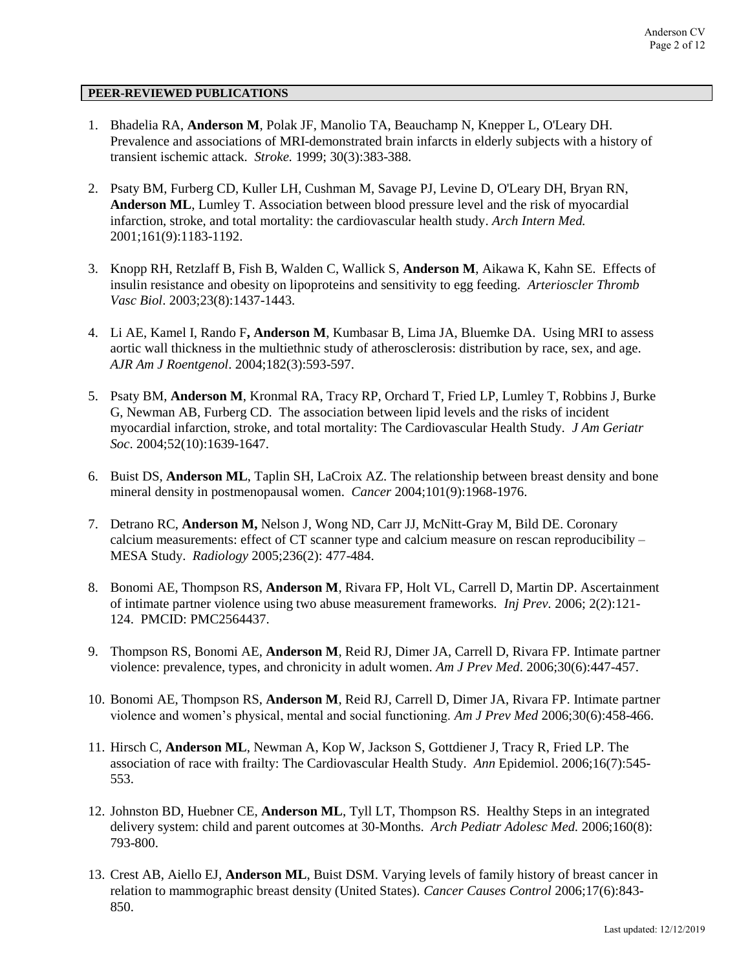### **PEER-REVIEWED PUBLICATIONS**

- 1. Bhadelia RA, **Anderson M**, Polak JF, Manolio TA, Beauchamp N, Knepper L, O'Leary DH. Prevalence and associations of MRI-demonstrated brain infarcts in elderly subjects with a history of transient ischemic attack. *Stroke.* 1999; 30(3):383-388.
- 2. Psaty BM, Furberg CD, Kuller LH, Cushman M, Savage PJ, Levine D, O'Leary DH, Bryan RN, **Anderson ML**, Lumley T. Association between blood pressure level and the risk of myocardial infarction, stroke, and total mortality: the cardiovascular health study. *Arch Intern Med.* 2001;161(9):1183-1192.
- 3. Knopp RH, Retzlaff B, Fish B, Walden C, Wallick S, **Anderson M**, Aikawa K, Kahn SE. Effects of insulin resistance and obesity on lipoproteins and sensitivity to egg feeding. *Arterioscler Thromb Vasc Biol*. 2003;23(8):1437-1443.
- 4. Li AE, Kamel I, Rando F**, Anderson M**, Kumbasar B, Lima JA, Bluemke DA. Using MRI to assess aortic wall thickness in the multiethnic study of atherosclerosis: distribution by race, sex, and age. *AJR Am J Roentgenol*. 2004;182(3):593-597.
- 5. Psaty BM, **Anderson M**, Kronmal RA, Tracy RP, Orchard T, Fried LP, Lumley T, Robbins J, Burke G, Newman AB, Furberg CD. The association between lipid levels and the risks of incident myocardial infarction, stroke, and total mortality: The Cardiovascular Health Study. *J Am Geriatr Soc*. 2004;52(10):1639-1647.
- 6. Buist DS, **Anderson ML**, Taplin SH, LaCroix AZ. The relationship between breast density and bone mineral density in postmenopausal women. *Cancer* 2004;101(9):1968-1976.
- 7. Detrano RC, **Anderson M,** Nelson J, Wong ND, Carr JJ, McNitt-Gray M, Bild DE. Coronary calcium measurements: effect of CT scanner type and calcium measure on rescan reproducibility – MESA Study. *Radiology* 2005;236(2): 477-484.
- 8. Bonomi AE, Thompson RS, **Anderson M**, Rivara FP, Holt VL, Carrell D, Martin DP. Ascertainment of intimate partner violence using two abuse measurement frameworks. *Inj Prev.* 2006; 2(2):121- 124. PMCID: PMC2564437.
- 9. Thompson RS, Bonomi AE, **Anderson M**, Reid RJ, Dimer JA, Carrell D, Rivara FP. Intimate partner violence: prevalence, types, and chronicity in adult women. *Am J Prev Med*. 2006;30(6):447-457.
- 10. Bonomi AE, Thompson RS, **Anderson M**, Reid RJ, Carrell D, Dimer JA, Rivara FP. Intimate partner violence and women's physical, mental and social functioning. *Am J Prev Med* 2006;30(6):458-466.
- 11. Hirsch C, **Anderson ML**, Newman A, Kop W, Jackson S, Gottdiener J, Tracy R, Fried LP. The association of race with frailty: The Cardiovascular Health Study. *Ann* Epidemiol. 2006;16(7):545- 553.
- 12. Johnston BD, Huebner CE, **Anderson ML**, Tyll LT, Thompson RS. Healthy Steps in an integrated delivery system: child and parent outcomes at 30-Months. *Arch Pediatr Adolesc Med.* 2006;160(8): 793-800.
- 13. Crest AB, Aiello EJ, **Anderson ML**, Buist DSM. Varying levels of family history of breast cancer in relation to mammographic breast density (United States). *Cancer Causes Control* 2006;17(6):843- 850.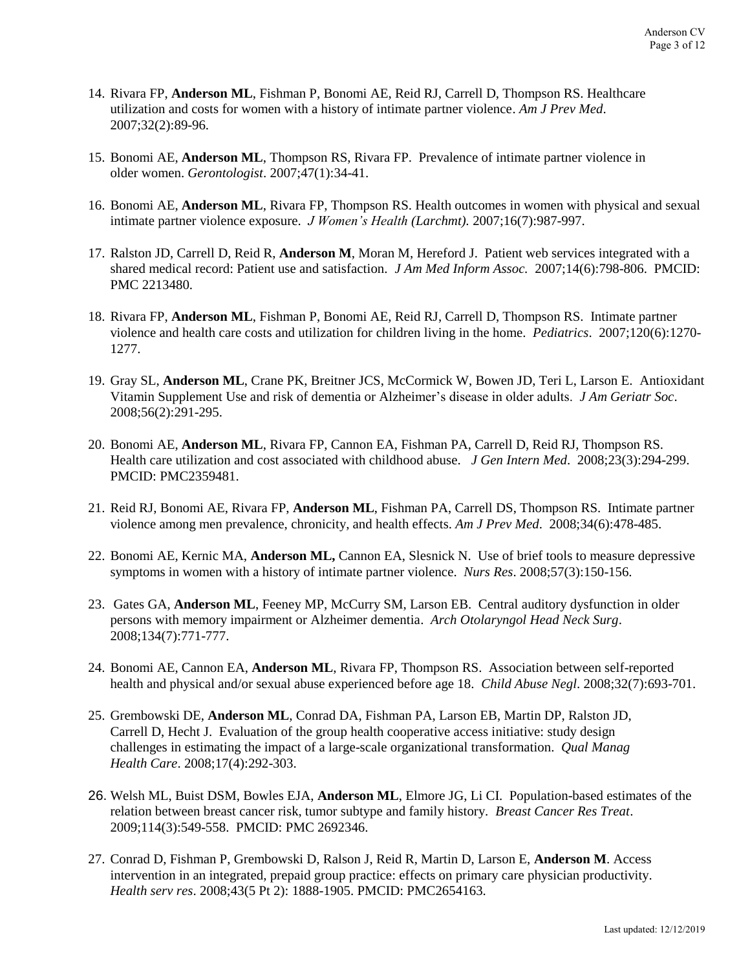- 14. Rivara FP, **Anderson ML**, Fishman P, Bonomi AE, Reid RJ, Carrell D, Thompson RS. Healthcare utilization and costs for women with a history of intimate partner violence. *Am J Prev Med*. 2007;32(2):89-96.
- 15. Bonomi AE, **Anderson ML**, Thompson RS, Rivara FP. Prevalence of intimate partner violence in older women. *Gerontologist*. 2007;47(1):34-41.
- 16. Bonomi AE, **Anderson ML**, Rivara FP, Thompson RS. Health outcomes in women with physical and sexual intimate partner violence exposure*. J Women's Health (Larchmt).* 2007;16(7):987-997.
- 17. Ralston JD, Carrell D, Reid R, **Anderson M**, Moran M, Hereford J. Patient web services integrated with a shared medical record: Patient use and satisfaction. *J Am Med Inform Assoc.* 2007;14(6):798-806. PMCID: PMC 2213480.
- 18. Rivara FP, **Anderson ML**, Fishman P, Bonomi AE, Reid RJ, Carrell D, Thompson RS. Intimate partner violence and health care costs and utilization for children living in the home. *Pediatrics*. 2007;120(6):1270- 1277.
- 19. Gray SL, **Anderson ML**, Crane PK, Breitner JCS, McCormick W, Bowen JD, Teri L, Larson E. Antioxidant Vitamin Supplement Use and risk of dementia or Alzheimer's disease in older adults. *J Am Geriatr Soc*. 2008;56(2):291-295.
- 20. Bonomi AE, **Anderson ML**, Rivara FP, Cannon EA, Fishman PA, Carrell D, Reid RJ, Thompson RS. Health care utilization and cost associated with childhood abuse. *J Gen Intern Med*. 2008;23(3):294-299. PMCID: PMC2359481.
- 21. Reid RJ, Bonomi AE, Rivara FP, **Anderson ML**, Fishman PA, Carrell DS, Thompson RS. Intimate partner violence among men prevalence, chronicity, and health effects. *Am J Prev Med*. 2008;34(6):478-485.
- 22. Bonomi AE, Kernic MA, **Anderson ML,** Cannon EA, Slesnick N. Use of brief tools to measure depressive symptoms in women with a history of intimate partner violence. *Nurs Res*. 2008;57(3):150-156.
- 23. Gates GA, **Anderson ML**, Feeney MP, McCurry SM, Larson EB. Central auditory dysfunction in older persons with memory impairment or Alzheimer dementia. *Arch Otolaryngol Head Neck Surg*. 2008;134(7):771-777.
- 24. Bonomi AE, Cannon EA, **Anderson ML**, Rivara FP, Thompson RS. Association between self-reported health and physical and/or sexual abuse experienced before age 18. *Child Abuse Negl*. 2008;32(7):693-701.
- 25. Grembowski DE, **Anderson ML**, Conrad DA, Fishman PA, Larson EB, Martin DP, Ralston JD, Carrell D, Hecht J. Evaluation of the group health cooperative access initiative: study design challenges in estimating the impact of a large-scale organizational transformation. *Qual Manag Health Care*. 2008;17(4):292-303.
- 26. Welsh ML, Buist DSM, Bowles EJA, **Anderson ML**, Elmore JG, Li CI. Population-based estimates of the relation between breast cancer risk, tumor subtype and family history. *Breast Cancer Res Treat*. 2009;114(3):549-558. PMCID: PMC 2692346.
- 27. Conrad D, Fishman P, Grembowski D, Ralson J, Reid R, Martin D, Larson E, **Anderson M**. Access intervention in an integrated, prepaid group practice: effects on primary care physician productivity. *Health serv res*. 2008;43(5 Pt 2): 1888-1905. PMCID: PMC2654163.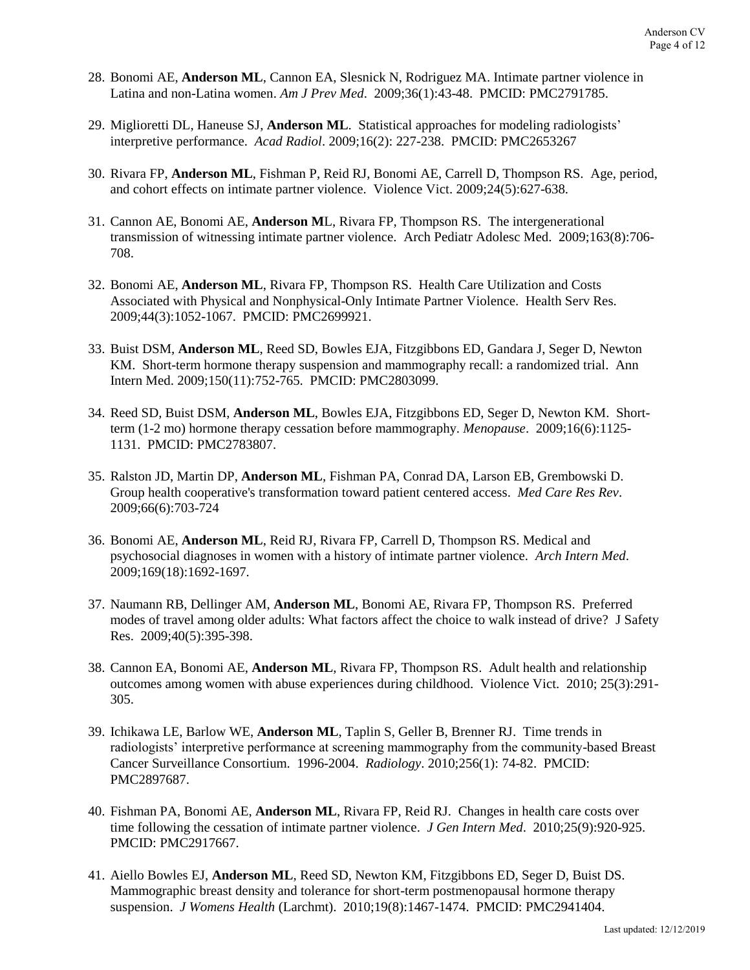- 28. Bonomi AE, **Anderson ML**, Cannon EA, Slesnick N, Rodriguez MA. Intimate partner violence in Latina and non-Latina women. *Am J Prev Med*. 2009;36(1):43-48. PMCID: PMC2791785.
- 29. Miglioretti DL, Haneuse SJ, **Anderson ML**. Statistical approaches for modeling radiologists' interpretive performance. *Acad Radiol*. 2009;16(2): 227-238. PMCID: PMC2653267
- 30. Rivara FP, **Anderson ML**, Fishman P, Reid RJ, Bonomi AE, Carrell D, Thompson RS. Age, period, and cohort effects on intimate partner violence. Violence Vict. 2009;24(5):627-638.
- 31. Cannon AE, Bonomi AE, **Anderson M**L, Rivara FP, Thompson RS. The intergenerational transmission of witnessing intimate partner violence. Arch Pediatr Adolesc Med. 2009;163(8):706- 708.
- 32. Bonomi AE, **Anderson ML**, Rivara FP, Thompson RS. Health Care Utilization and Costs Associated with Physical and Nonphysical-Only Intimate Partner Violence. Health Serv Res. 2009;44(3):1052-1067. PMCID: PMC2699921.
- 33. Buist DSM, **Anderson ML**, Reed SD, Bowles EJA, Fitzgibbons ED, Gandara J, Seger D, Newton KM. Short-term hormone therapy suspension and mammography recall: a randomized trial. Ann Intern Med. 2009;150(11):752-765. PMCID: PMC2803099.
- 34. Reed SD, Buist DSM, **Anderson ML**, Bowles EJA, Fitzgibbons ED, Seger D, Newton KM. Shortterm (1-2 mo) hormone therapy cessation before mammography. *Menopause*. 2009;16(6):1125- 1131. PMCID: PMC2783807.
- 35. Ralston JD, Martin DP, **Anderson ML**, Fishman PA, Conrad DA, Larson EB, Grembowski D. Group health cooperative's transformation toward patient centered access. *Med Care Res Rev*. 2009;66(6):703-724
- 36. Bonomi AE, **Anderson ML**, Reid RJ, Rivara FP, Carrell D, Thompson RS. Medical and psychosocial diagnoses in women with a history of intimate partner violence. *Arch Intern Med*. 2009;169(18):1692-1697.
- 37. Naumann RB, Dellinger AM, **Anderson ML**, Bonomi AE, Rivara FP, Thompson RS. Preferred modes of travel among older adults: What factors affect the choice to walk instead of drive? J Safety Res. 2009;40(5):395-398.
- 38. Cannon EA, Bonomi AE, **Anderson ML**, Rivara FP, Thompson RS. Adult health and relationship outcomes among women with abuse experiences during childhood. Violence Vict. 2010; 25(3):291- 305.
- 39. Ichikawa LE, Barlow WE, **Anderson ML**, Taplin S, Geller B, Brenner RJ. Time trends in radiologists' interpretive performance at screening mammography from the community-based Breast Cancer Surveillance Consortium. 1996-2004. *Radiology*. 2010;256(1): 74-82. PMCID: PMC2897687.
- 40. Fishman PA, Bonomi AE, **Anderson ML**, Rivara FP, Reid RJ. Changes in health care costs over time following the cessation of intimate partner violence. *J Gen Intern Med*. 2010;25(9):920-925. PMCID: PMC2917667.
- 41. Aiello Bowles EJ, **Anderson ML**, Reed SD, Newton KM, Fitzgibbons ED, Seger D, Buist DS. Mammographic breast density and tolerance for short-term postmenopausal hormone therapy suspension. *J Womens Health* (Larchmt). 2010;19(8):1467-1474. PMCID: PMC2941404.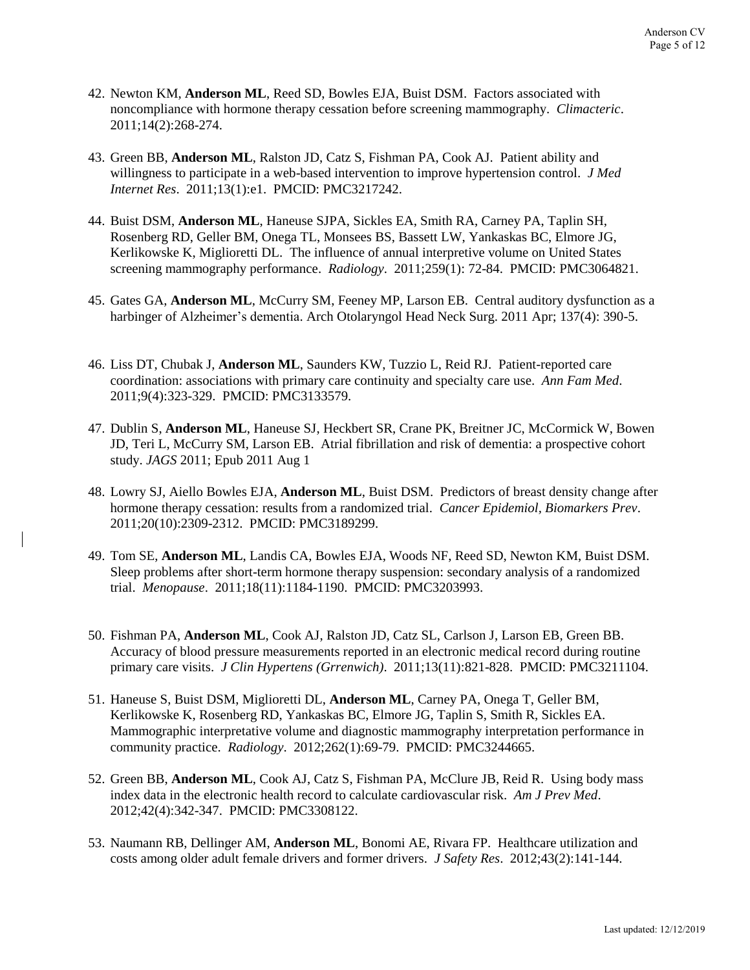- 42. Newton KM, **Anderson ML**, Reed SD, Bowles EJA, Buist DSM. Factors associated with noncompliance with hormone therapy cessation before screening mammography. *Climacteric*. 2011;14(2):268-274.
- 43. Green BB, **Anderson ML**, Ralston JD, Catz S, Fishman PA, Cook AJ. Patient ability and willingness to participate in a web-based intervention to improve hypertension control. *J Med Internet Res*. 2011;13(1):e1. PMCID: PMC3217242.
- 44. Buist DSM, **Anderson ML**, Haneuse SJPA, Sickles EA, Smith RA, Carney PA, Taplin SH, Rosenberg RD, Geller BM, Onega TL, Monsees BS, Bassett LW, Yankaskas BC, Elmore JG, Kerlikowske K, Miglioretti DL. The influence of annual interpretive volume on United States screening mammography performance. *Radiology*. 2011;259(1): 72-84. PMCID: PMC3064821.
- 45. Gates GA, **Anderson ML**, McCurry SM, Feeney MP, Larson EB. Central auditory dysfunction as a harbinger of Alzheimer's dementia. Arch Otolaryngol Head Neck Surg. 2011 Apr; 137(4): 390-5.
- 46. Liss DT, Chubak J, **Anderson ML**, Saunders KW, Tuzzio L, Reid RJ. Patient-reported care coordination: associations with primary care continuity and specialty care use. *Ann Fam Med*. 2011;9(4):323-329. PMCID: PMC3133579.
- 47. Dublin S, **Anderson ML**, Haneuse SJ, Heckbert SR, Crane PK, Breitner JC, McCormick W, Bowen JD, Teri L, McCurry SM, Larson EB. Atrial fibrillation and risk of dementia: a prospective cohort study. *JAGS* 2011; Epub 2011 Aug 1
- 48. Lowry SJ, Aiello Bowles EJA, **Anderson ML**, Buist DSM. Predictors of breast density change after hormone therapy cessation: results from a randomized trial. *Cancer Epidemiol, Biomarkers Prev*. 2011;20(10):2309-2312. PMCID: PMC3189299.
- 49. Tom SE, **Anderson ML**, Landis CA, Bowles EJA, Woods NF, Reed SD, Newton KM, Buist DSM. Sleep problems after short-term hormone therapy suspension: secondary analysis of a randomized trial. *Menopause*. 2011;18(11):1184-1190. PMCID: PMC3203993.
- 50. Fishman PA, **Anderson ML**, Cook AJ, Ralston JD, Catz SL, Carlson J, Larson EB, Green BB. Accuracy of blood pressure measurements reported in an electronic medical record during routine primary care visits. *J Clin Hypertens (Grrenwich)*. 2011;13(11):821-828. PMCID: PMC3211104.
- 51. Haneuse S, Buist DSM, Miglioretti DL, **Anderson ML**, Carney PA, Onega T, Geller BM, Kerlikowske K, Rosenberg RD, Yankaskas BC, Elmore JG, Taplin S, Smith R, Sickles EA. Mammographic interpretative volume and diagnostic mammography interpretation performance in community practice. *Radiology*. 2012;262(1):69-79. PMCID: PMC3244665.
- 52. Green BB, **Anderson ML**, Cook AJ, Catz S, Fishman PA, McClure JB, Reid R. Using body mass index data in the electronic health record to calculate cardiovascular risk. *Am J Prev Med*. 2012;42(4):342-347. PMCID: PMC3308122.
- 53. Naumann RB, Dellinger AM, **Anderson ML**, Bonomi AE, Rivara FP. Healthcare utilization and costs among older adult female drivers and former drivers. *J Safety Res*. 2012;43(2):141-144.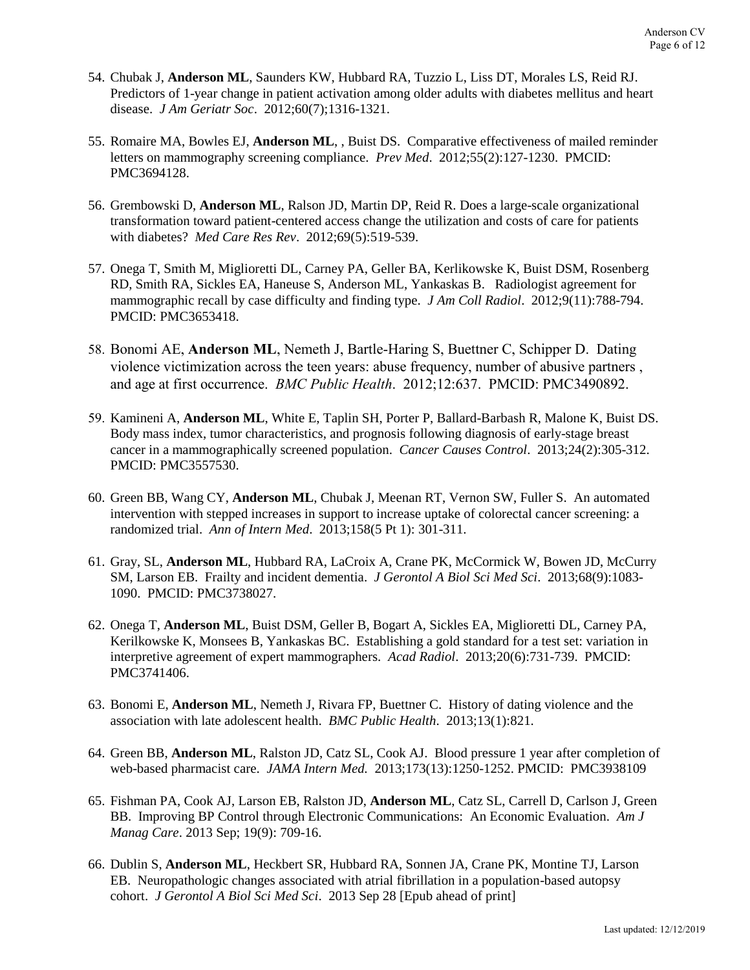- 54. Chubak J, **Anderson ML**, Saunders KW, Hubbard RA, Tuzzio L, Liss DT, Morales LS, Reid RJ. Predictors of 1-year change in patient activation among older adults with diabetes mellitus and heart disease. *J Am Geriatr Soc*. 2012;60(7);1316-1321.
- 55. Romaire MA, Bowles EJ, **Anderson ML**, , Buist DS. Comparative effectiveness of mailed reminder letters on mammography screening compliance. *Prev Med*. 2012;55(2):127-1230. PMCID: PMC3694128.
- 56. Grembowski D, **Anderson ML**, Ralson JD, Martin DP, Reid R. Does a large-scale organizational transformation toward patient-centered access change the utilization and costs of care for patients with diabetes? *Med Care Res Rev*. 2012;69(5):519-539.
- 57. Onega T, Smith M, Miglioretti DL, Carney PA, Geller BA, Kerlikowske K, Buist DSM, Rosenberg RD, Smith RA, Sickles EA, Haneuse S, Anderson ML, Yankaskas B. Radiologist agreement for mammographic recall by case difficulty and finding type. *J Am Coll Radiol*. 2012;9(11):788-794. PMCID: PMC3653418.
- 58. Bonomi AE, **Anderson ML**, Nemeth J, Bartle-Haring S, Buettner C, Schipper D. Dating violence victimization across the teen years: abuse frequency, number of abusive partners , and age at first occurrence. *BMC Public Health*. 2012;12:637. PMCID: PMC3490892.
- 59. Kamineni A, **Anderson ML**, White E, Taplin SH, Porter P, Ballard-Barbash R, Malone K, Buist DS. Body mass index, tumor characteristics, and prognosis following diagnosis of early-stage breast cancer in a mammographically screened population. *Cancer Causes Control*. 2013;24(2):305-312. PMCID: PMC3557530.
- 60. Green BB, Wang CY, **Anderson ML**, Chubak J, Meenan RT, Vernon SW, Fuller S. An automated intervention with stepped increases in support to increase uptake of colorectal cancer screening: a randomized trial. *Ann of Intern Med*. 2013;158(5 Pt 1): 301-311.
- 61. Gray, SL, **Anderson ML**, Hubbard RA, LaCroix A, Crane PK, McCormick W, Bowen JD, McCurry SM, Larson EB. Frailty and incident dementia. *J Gerontol A Biol Sci Med Sci*. 2013;68(9):1083- 1090. PMCID: PMC3738027.
- 62. Onega T, **Anderson ML**, Buist DSM, Geller B, Bogart A, Sickles EA, Miglioretti DL, Carney PA, Kerilkowske K, Monsees B, Yankaskas BC. Establishing a gold standard for a test set: variation in interpretive agreement of expert mammographers. *Acad Radiol*. 2013;20(6):731-739. PMCID: PMC3741406.
- 63. Bonomi E, **Anderson ML**, Nemeth J, Rivara FP, Buettner C. History of dating violence and the association with late adolescent health. *BMC Public Health*. 2013;13(1):821.
- 64. Green BB, **Anderson ML**, Ralston JD, Catz SL, Cook AJ. Blood pressure 1 year after completion of web-based pharmacist care. *JAMA Intern Med.* 2013;173(13):1250-1252. PMCID: PMC3938109
- 65. Fishman PA, Cook AJ, Larson EB, Ralston JD, **Anderson ML**, Catz SL, Carrell D, Carlson J, Green BB. Improving BP Control through Electronic Communications: An Economic Evaluation. *Am J Manag Care*. 2013 Sep; 19(9): 709-16.
- 66. Dublin S, **Anderson ML**, Heckbert SR, Hubbard RA, Sonnen JA, Crane PK, Montine TJ, Larson EB. Neuropathologic changes associated with atrial fibrillation in a population-based autopsy cohort. *J Gerontol A Biol Sci Med Sci*. 2013 Sep 28 [Epub ahead of print]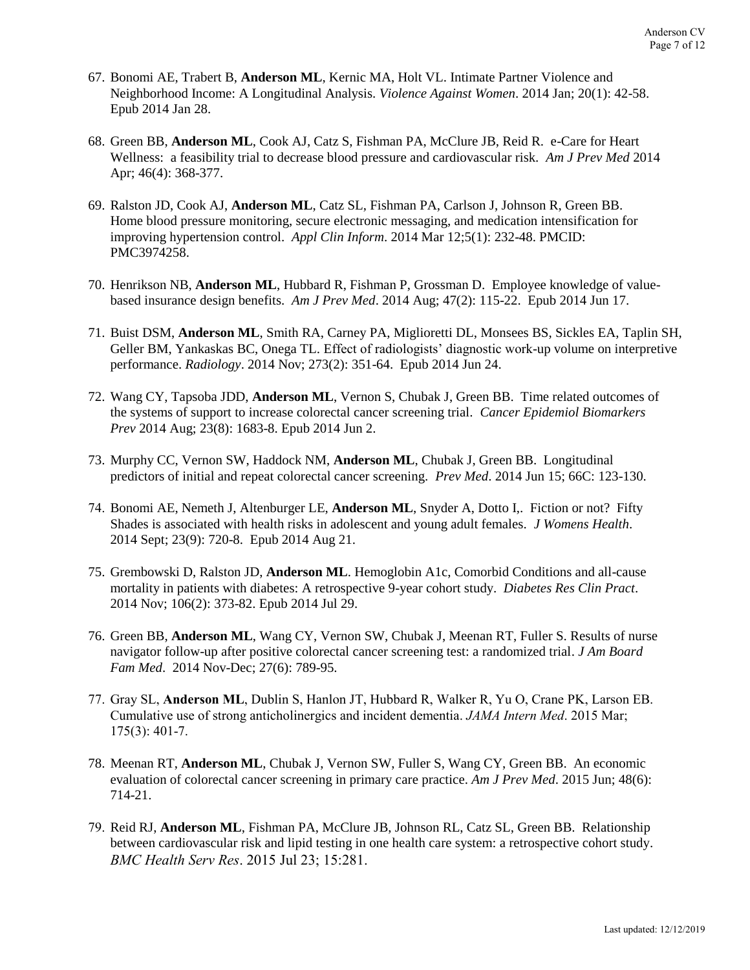- 67. Bonomi AE, Trabert B, **Anderson ML**, Kernic MA, Holt VL. Intimate Partner Violence and Neighborhood Income: A Longitudinal Analysis. *Violence Against Women*. 2014 Jan; 20(1): 42-58. Epub 2014 Jan 28.
- 68. Green BB, **Anderson ML**, Cook AJ, Catz S, Fishman PA, McClure JB, Reid R. e-Care for Heart Wellness: a feasibility trial to decrease blood pressure and cardiovascular risk. *Am J Prev Med* 2014 Apr; 46(4): 368-377.
- 69. Ralston JD, Cook AJ, **Anderson ML**, Catz SL, Fishman PA, Carlson J, Johnson R, Green BB. Home blood pressure monitoring, secure electronic messaging, and medication intensification for improving hypertension control. *Appl Clin Inform*. 2014 Mar 12;5(1): 232-48. PMCID: PMC3974258.
- 70. Henrikson NB, **Anderson ML**, Hubbard R, Fishman P, Grossman D. Employee knowledge of valuebased insurance design benefits. *Am J Prev Med*. 2014 Aug; 47(2): 115-22. Epub 2014 Jun 17.
- 71. Buist DSM, **Anderson ML**, Smith RA, Carney PA, Miglioretti DL, Monsees BS, Sickles EA, Taplin SH, Geller BM, Yankaskas BC, Onega TL. Effect of radiologists' diagnostic work-up volume on interpretive performance. *Radiology*. 2014 Nov; 273(2): 351-64. Epub 2014 Jun 24.
- 72. Wang CY, Tapsoba JDD, **Anderson ML**, Vernon S, Chubak J, Green BB. Time related outcomes of the systems of support to increase colorectal cancer screening trial. *Cancer Epidemiol Biomarkers Prev* 2014 Aug; 23(8): 1683-8. Epub 2014 Jun 2.
- 73. Murphy CC, Vernon SW, Haddock NM, **Anderson ML**, Chubak J, Green BB. Longitudinal predictors of initial and repeat colorectal cancer screening. *Prev Med*. 2014 Jun 15; 66C: 123-130.
- 74. Bonomi AE, Nemeth J, Altenburger LE, **Anderson ML**, Snyder A, Dotto I,. Fiction or not? Fifty Shades is associated with health risks in adolescent and young adult females. *J Womens Health*. 2014 Sept; 23(9): 720-8. Epub 2014 Aug 21.
- 75. Grembowski D, Ralston JD, **Anderson ML**. Hemoglobin A1c, Comorbid Conditions and all-cause mortality in patients with diabetes: A retrospective 9-year cohort study. *Diabetes Res Clin Pract*. 2014 Nov; 106(2): 373-82. Epub 2014 Jul 29.
- 76. Green BB, **Anderson ML**, Wang CY, Vernon SW, Chubak J, Meenan RT, Fuller S. Results of nurse navigator follow-up after positive colorectal cancer screening test: a randomized trial. *J Am Board Fam Med*. 2014 Nov-Dec; 27(6): 789-95.
- 77. Gray SL, **Anderson ML**, Dublin S, Hanlon JT, Hubbard R, Walker R, Yu O, Crane PK, Larson EB. Cumulative use of strong anticholinergics and incident dementia. *JAMA Intern Med*. 2015 Mar; 175(3): 401-7.
- 78. Meenan RT, **Anderson ML**, Chubak J, Vernon SW, Fuller S, Wang CY, Green BB. An economic evaluation of colorectal cancer screening in primary care practice. *Am J Prev Med*. 2015 Jun; 48(6): 714-21.
- 79. Reid RJ, **Anderson ML**, Fishman PA, McClure JB, Johnson RL, Catz SL, Green BB. Relationship between cardiovascular risk and lipid testing in one health care system: a retrospective cohort study. *BMC Health Serv Res*. 2015 Jul 23; 15:281.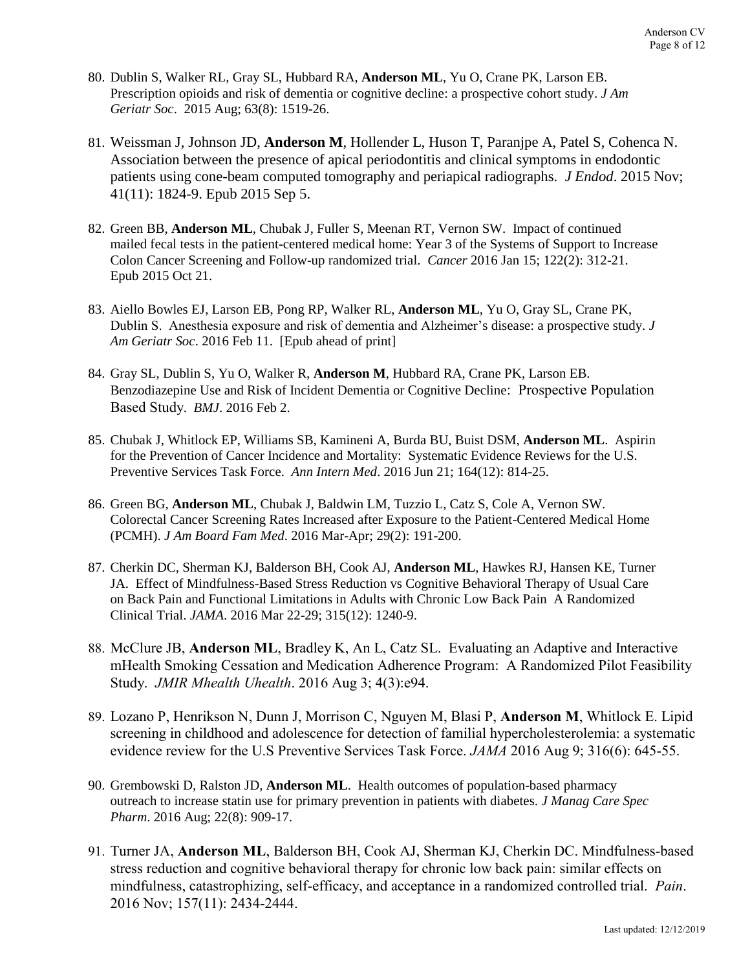- 80. Dublin S, Walker RL, Gray SL, Hubbard RA, **Anderson ML**, Yu O, Crane PK, Larson EB. Prescription opioids and risk of dementia or cognitive decline: a prospective cohort study. *J Am Geriatr Soc*. 2015 Aug; 63(8): 1519-26.
- 81. Weissman J, Johnson JD, **Anderson M**, Hollender L, Huson T, Paranjpe A, Patel S, Cohenca N. Association between the presence of apical periodontitis and clinical symptoms in endodontic patients using cone-beam computed tomography and periapical radiographs. *J Endod*. 2015 Nov; 41(11): 1824-9. Epub 2015 Sep 5.
- 82. Green BB, **Anderson ML**, Chubak J, Fuller S, Meenan RT, Vernon SW. Impact of continued mailed fecal tests in the patient-centered medical home: Year 3 of the Systems of Support to Increase Colon Cancer Screening and Follow-up randomized trial. *Cancer* 2016 Jan 15; 122(2): 312-21. Epub 2015 Oct 21.
- 83. Aiello Bowles EJ, Larson EB, Pong RP, Walker RL, **Anderson ML**, Yu O, Gray SL, Crane PK, Dublin S. Anesthesia exposure and risk of dementia and Alzheimer's disease: a prospective study. *J Am Geriatr Soc*. 2016 Feb 11. [Epub ahead of print]
- 84. Gray SL, Dublin S, Yu O, Walker R, **Anderson M**, Hubbard RA, Crane PK, Larson EB. Benzodiazepine Use and Risk of Incident Dementia or Cognitive Decline: Prospective Population Based Study. *BMJ*. 2016 Feb 2.
- 85. Chubak J, Whitlock EP, Williams SB, Kamineni A, Burda BU, Buist DSM, **Anderson ML**. Aspirin for the Prevention of Cancer Incidence and Mortality: Systematic Evidence Reviews for the U.S. Preventive Services Task Force. *Ann Intern Med*. 2016 Jun 21; 164(12): 814-25.
- 86. Green BG, **Anderson ML**, Chubak J, Baldwin LM, Tuzzio L, Catz S, Cole A, Vernon SW. Colorectal Cancer Screening Rates Increased after Exposure to the Patient-Centered Medical Home (PCMH). *J Am Board Fam Med*. 2016 Mar-Apr; 29(2): 191-200.
- 87. Cherkin DC, Sherman KJ, Balderson BH, Cook AJ, **Anderson ML**, Hawkes RJ, Hansen KE, Turner JA. Effect of Mindfulness-Based Stress Reduction vs Cognitive Behavioral Therapy of Usual Care on Back Pain and Functional Limitations in Adults with Chronic Low Back Pain A Randomized Clinical Trial. *JAMA*. 2016 Mar 22-29; 315(12): 1240-9.
- 88. McClure JB, **Anderson ML**, Bradley K, An L, Catz SL. Evaluating an Adaptive and Interactive mHealth Smoking Cessation and Medication Adherence Program: A Randomized Pilot Feasibility Study. *JMIR Mhealth Uhealth*. 2016 Aug 3; 4(3):e94.
- 89. Lozano P, Henrikson N, Dunn J, Morrison C, Nguyen M, Blasi P, **Anderson M**, Whitlock E. Lipid screening in childhood and adolescence for detection of familial hypercholesterolemia: a systematic evidence review for the U.S Preventive Services Task Force. *JAMA* 2016 Aug 9; 316(6): 645-55.
- 90. Grembowski D, Ralston JD, **Anderson ML**. Health outcomes of population-based pharmacy outreach to increase statin use for primary prevention in patients with diabetes. *J Manag Care Spec Pharm*. 2016 Aug; 22(8): 909-17.
- 91. Turner JA, **Anderson ML**, Balderson BH, Cook AJ, Sherman KJ, Cherkin DC. Mindfulness-based stress reduction and cognitive behavioral therapy for chronic low back pain: similar effects on mindfulness, catastrophizing, self-efficacy, and acceptance in a randomized controlled trial. *Pain*. 2016 Nov; 157(11): 2434-2444.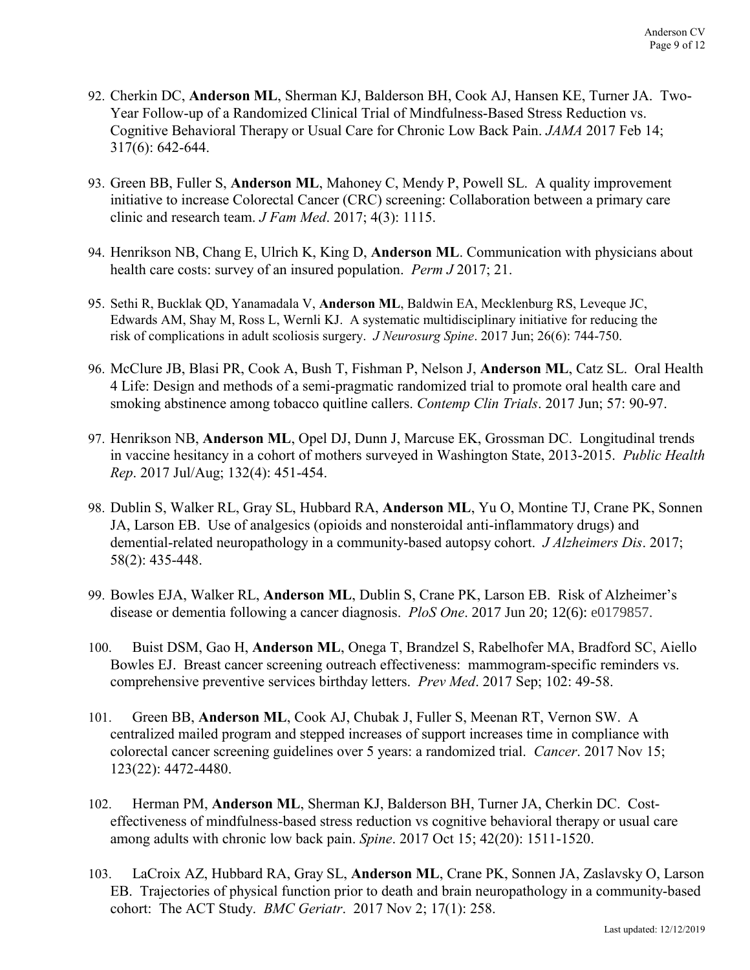- 92. Cherkin DC, **Anderson ML**, Sherman KJ, Balderson BH, Cook AJ, Hansen KE, Turner JA. Two-Year Follow-up of a Randomized Clinical Trial of Mindfulness-Based Stress Reduction vs. Cognitive Behavioral Therapy or Usual Care for Chronic Low Back Pain. *JAMA* 2017 Feb 14; 317(6): 642-644.
- 93. Green BB, Fuller S, **Anderson ML**, Mahoney C, Mendy P, Powell SL. A quality improvement initiative to increase Colorectal Cancer (CRC) screening: Collaboration between a primary care clinic and research team. *J Fam Med*. 2017; 4(3): 1115.
- 94. Henrikson NB, Chang E, Ulrich K, King D, **Anderson ML**. Communication with physicians about health care costs: survey of an insured population. *Perm J* 2017; 21.
- 95. Sethi R, Bucklak QD, Yanamadala V, **Anderson ML**, Baldwin EA, Mecklenburg RS, Leveque JC, Edwards AM, Shay M, Ross L, Wernli KJ. A systematic multidisciplinary initiative for reducing the risk of complications in adult scoliosis surgery. *J Neurosurg Spine*. 2017 Jun; 26(6): 744-750.
- 96. McClure JB, Blasi PR, Cook A, Bush T, Fishman P, Nelson J, **Anderson ML**, Catz SL. Oral Health 4 Life: Design and methods of a semi-pragmatic randomized trial to promote oral health care and smoking abstinence among tobacco quitline callers. *Contemp Clin Trials*. 2017 Jun; 57: 90-97.
- 97. Henrikson NB, **Anderson ML**, Opel DJ, Dunn J, Marcuse EK, Grossman DC. Longitudinal trends in vaccine hesitancy in a cohort of mothers surveyed in Washington State, 2013-2015. *Public Health Rep*. 2017 Jul/Aug; 132(4): 451-454.
- 98. Dublin S, Walker RL, Gray SL, Hubbard RA, **Anderson ML**, Yu O, Montine TJ, Crane PK, Sonnen JA, Larson EB. Use of analgesics (opioids and nonsteroidal anti-inflammatory drugs) and demential-related neuropathology in a community-based autopsy cohort. *J Alzheimers Dis*. 2017; 58(2): 435-448.
- 99. Bowles EJA, Walker RL, **Anderson ML**, Dublin S, Crane PK, Larson EB. Risk of Alzheimer's disease or dementia following a cancer diagnosis. *PloS One*. 2017 Jun 20; 12(6): e0179857.
- 100. Buist DSM, Gao H, **Anderson ML**, Onega T, Brandzel S, Rabelhofer MA, Bradford SC, Aiello Bowles EJ. Breast cancer screening outreach effectiveness: mammogram-specific reminders vs. comprehensive preventive services birthday letters. *Prev Med*. 2017 Sep; 102: 49-58.
- 101. Green BB, **Anderson ML**, Cook AJ, Chubak J, Fuller S, Meenan RT, Vernon SW. A centralized mailed program and stepped increases of support increases time in compliance with colorectal cancer screening guidelines over 5 years: a randomized trial. *Cancer*. 2017 Nov 15; 123(22): 4472-4480.
- 102. Herman PM, **Anderson ML**, Sherman KJ, Balderson BH, Turner JA, Cherkin DC. Costeffectiveness of mindfulness-based stress reduction vs cognitive behavioral therapy or usual care among adults with chronic low back pain. *Spine*. 2017 Oct 15; 42(20): 1511-1520.
- 103. LaCroix AZ, Hubbard RA, Gray SL, **Anderson ML**, Crane PK, Sonnen JA, Zaslavsky O, Larson EB. Trajectories of physical function prior to death and brain neuropathology in a community-based cohort: The ACT Study. *BMC Geriatr*. 2017 Nov 2; 17(1): 258.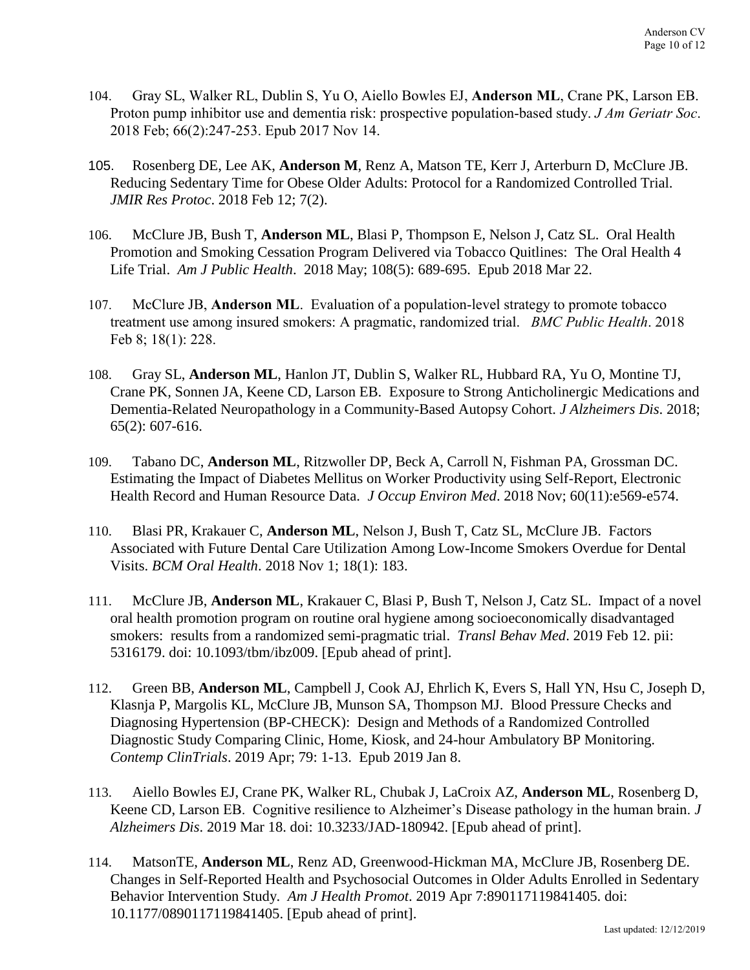- 104. Gray SL, Walker RL, Dublin S, Yu O, Aiello Bowles EJ, **Anderson ML**, Crane PK, Larson EB. Proton pump inhibitor use and dementia risk: prospective population-based study. *J Am Geriatr Soc*. 2018 Feb; 66(2):247-253. Epub 2017 Nov 14.
- 105. Rosenberg DE, Lee AK, **Anderson M**, Renz A, Matson TE, Kerr J, Arterburn D, McClure JB. Reducing Sedentary Time for Obese Older Adults: Protocol for a Randomized Controlled Trial. *JMIR Res Protoc*. 2018 Feb 12; 7(2).
- 106. McClure JB, Bush T, **Anderson ML**, Blasi P, Thompson E, Nelson J, Catz SL. Oral Health Promotion and Smoking Cessation Program Delivered via Tobacco Quitlines: The Oral Health 4 Life Trial. *Am J Public Health*. 2018 May; 108(5): 689-695. Epub 2018 Mar 22.
- 107. McClure JB, **Anderson ML**. Evaluation of a population-level strategy to promote tobacco treatment use among insured smokers: A pragmatic, randomized trial. *BMC Public Health*. 2018 Feb 8; 18(1): 228.
- 108. Gray SL, **Anderson ML**, Hanlon JT, Dublin S, Walker RL, Hubbard RA, Yu O, Montine TJ, Crane PK, Sonnen JA, Keene CD, Larson EB. Exposure to Strong Anticholinergic Medications and Dementia-Related Neuropathology in a Community-Based Autopsy Cohort. *J Alzheimers Dis*. 2018; 65(2): 607-616.
- 109. Tabano DC, **Anderson ML**, Ritzwoller DP, Beck A, Carroll N, Fishman PA, Grossman DC. Estimating the Impact of Diabetes Mellitus on Worker Productivity using Self-Report, Electronic Health Record and Human Resource Data. *J Occup Environ Med*. 2018 Nov; 60(11):e569-e574.
- 110. Blasi PR, Krakauer C, **Anderson ML**, Nelson J, Bush T, Catz SL, McClure JB. Factors Associated with Future Dental Care Utilization Among Low-Income Smokers Overdue for Dental Visits. *BCM Oral Health*. 2018 Nov 1; 18(1): 183.
- 111. McClure JB, **Anderson ML**, Krakauer C, Blasi P, Bush T, Nelson J, Catz SL. Impact of a novel oral health promotion program on routine oral hygiene among socioeconomically disadvantaged smokers: results from a randomized semi-pragmatic trial. *Transl Behav Med*. 2019 Feb 12. pii: 5316179. doi: 10.1093/tbm/ibz009. [Epub ahead of print].
- 112. Green BB, **Anderson ML**, Campbell J, Cook AJ, Ehrlich K, Evers S, Hall YN, Hsu C, Joseph D, Klasnja P, Margolis KL, McClure JB, Munson SA, Thompson MJ. Blood Pressure Checks and Diagnosing Hypertension (BP-CHECK): Design and Methods of a Randomized Controlled Diagnostic Study Comparing Clinic, Home, Kiosk, and 24-hour Ambulatory BP Monitoring. *Contemp ClinTrials*. 2019 Apr; 79: 1-13. Epub 2019 Jan 8.
- 113. Aiello Bowles EJ, Crane PK, Walker RL, Chubak J, LaCroix AZ, **Anderson ML**, Rosenberg D, Keene CD, Larson EB. Cognitive resilience to Alzheimer's Disease pathology in the human brain. *J Alzheimers Dis*. 2019 Mar 18. doi: 10.3233/JAD-180942. [Epub ahead of print].
- 114. MatsonTE, **Anderson ML**, Renz AD, Greenwood-Hickman MA, McClure JB, Rosenberg DE. Changes in Self-Reported Health and Psychosocial Outcomes in Older Adults Enrolled in Sedentary Behavior Intervention Study. *Am J Health Promot*. 2019 Apr 7:890117119841405. doi: 10.1177/0890117119841405. [Epub ahead of print].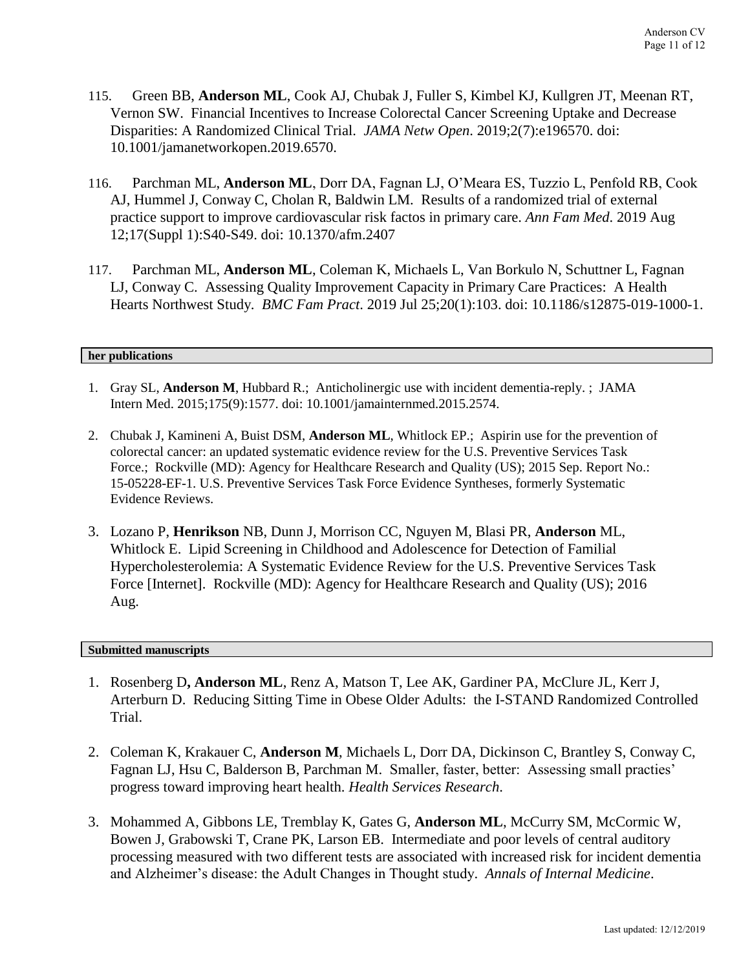- 115. Green BB, **Anderson ML**, Cook AJ, Chubak J, Fuller S, Kimbel KJ, Kullgren JT, Meenan RT, Vernon SW. Financial Incentives to Increase Colorectal Cancer Screening Uptake and Decrease Disparities: A Randomized Clinical Trial. *JAMA Netw Open*. 2019;2(7):e196570. doi: 10.1001/jamanetworkopen.2019.6570.
- 116. Parchman ML, **Anderson ML**, Dorr DA, Fagnan LJ, O'Meara ES, Tuzzio L, Penfold RB, Cook AJ, Hummel J, Conway C, Cholan R, Baldwin LM. Results of a randomized trial of external practice support to improve cardiovascular risk factos in primary care. *Ann Fam Med*. 2019 Aug 12;17(Suppl 1):S40-S49. doi: 10.1370/afm.2407
- 117. Parchman ML, **Anderson ML**, Coleman K, Michaels L, Van Borkulo N, Schuttner L, Fagnan LJ, Conway C. Assessing Quality Improvement Capacity in Primary Care Practices: A Health Hearts Northwest Study. *BMC Fam Pract*. 2019 Jul 25;20(1):103. doi: 10.1186/s12875-019-1000-1.

### **her publications**

- 1. Gray SL, **Anderson M**, Hubbard R.; Anticholinergic use with incident dementia-reply. ; JAMA Intern Med. 2015;175(9):1577. doi: 10.1001/jamainternmed.2015.2574.
- 2. Chubak J, Kamineni A, Buist DSM, **Anderson ML**, Whitlock EP.; Aspirin use for the prevention of colorectal cancer: an updated systematic evidence review for the U.S. Preventive Services Task Force.; Rockville (MD): Agency for Healthcare Research and Quality (US); 2015 Sep. Report No.: 15-05228-EF-1. U.S. Preventive Services Task Force Evidence Syntheses, formerly Systematic Evidence Reviews.
- 3. Lozano P, **Henrikson** NB, Dunn J, Morrison CC, Nguyen M, Blasi PR, **Anderson** ML, Whitlock E. [Lipid Screening in Childhood and Adolescence for Detection of Familial](https://www.ncbi.nlm.nih.gov/pubmed/27559556)  [Hypercholesterolemia: A Systematic Evidence Review for the U.S. Preventive Services Task](https://www.ncbi.nlm.nih.gov/pubmed/27559556)  [Force \[Internet\].](https://www.ncbi.nlm.nih.gov/pubmed/27559556) Rockville (MD): Agency for Healthcare Research and Quality (US); 2016 Aug.

## **Submitted manuscripts**

- 1. Rosenberg D**, Anderson ML**, Renz A, Matson T, Lee AK, Gardiner PA, McClure JL, Kerr J, Arterburn D. Reducing Sitting Time in Obese Older Adults: the I-STAND Randomized Controlled Trial.
- 2. Coleman K, Krakauer C, **Anderson M**, Michaels L, Dorr DA, Dickinson C, Brantley S, Conway C, Fagnan LJ, Hsu C, Balderson B, Parchman M. Smaller, faster, better: Assessing small practies' progress toward improving heart health. *Health Services Research*.
- 3. Mohammed A, Gibbons LE, Tremblay K, Gates G, **Anderson ML**, McCurry SM, McCormic W, Bowen J, Grabowski T, Crane PK, Larson EB. Intermediate and poor levels of central auditory processing measured with two different tests are associated with increased risk for incident dementia and Alzheimer's disease: the Adult Changes in Thought study. *Annals of Internal Medicine*.